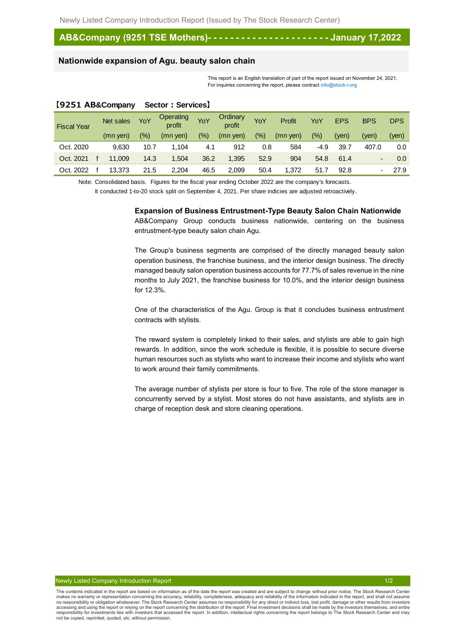# **AB&Company (9251 TSE Mothers)- - - - - - - - - - - - - - - - - - - - - - January 17,2022**

# **Nationwide expansion of Agu. beauty salon chain**

This report is an English translation of part of the report issued on November 24, 2021. For inquiries concerning the report, please contract info@stock-r.org

#### **【9251 AB&Company Sector:Services】**

| <b>Fiscal Year</b> | Net sales | YoY           | <b>Operating</b><br>profit | YoY     | Ordinary<br>profit | YoY     | Profit     | YoY     | <b>EPS</b> | <b>BPS</b> | <b>DPS</b> |
|--------------------|-----------|---------------|----------------------------|---------|--------------------|---------|------------|---------|------------|------------|------------|
|                    | (mn yen)  | $\frac{1}{2}$ | (mn yen)                   | $(\% )$ | $(mn$ yen)         | $(\% )$ | $(mn$ yen) | $(\% )$ | (ven)      | (yen)      | (ven)      |
| Oct. 2020          | 9.630     | 10.7          | 1.104                      | 4.1     | 912                | 0.8     | 584        | -4.9    | 39.7       | 407.0      | 0.0        |
| Oct. 2021          | 11,009    | 14.3          | 1,504                      | 36.2    | 1,395              | 52.9    | 904        | 54.8    | 61.4       |            | 0.0        |
| Oct. 2022          | 13,373    | 21.5          | 2,204                      | 46.5    | 2,099              | 50.4    | 1,372      | 51.7    | 92.8       |            | 27.9       |

Note: Consolidated basis. Figures for the fiscal year ending October 2022 are the company's forecasts.

It conducted 1-to-20 stock split on September 4, 2021. Per share indicies are adjusted retroactively.

#### **Expansion of Business Entrustment-Type Beauty Salon Chain Nationwide**

AB&Company Group conducts business nationwide, centering on the business entrustment-type beauty salon chain Agu.

The Group's business segments are comprised of the directly managed beauty salon operation business, the franchise business, and the interior design business. The directly managed beauty salon operation business accounts for 77.7% of sales revenue in the nine months to July 2021, the franchise business for 10.0%, and the interior design business for 12.3%.

One of the characteristics of the Agu. Group is that it concludes business entrustment contracts with stylists.

The reward system is completely linked to their sales, and stylists are able to gain high rewards. In addition, since the work schedule is flexible, it is possible to secure diverse human resources such as stylists who want to increase their income and stylists who want to work around their family commitments.

The average number of stylists per store is four to five. The role of the store manager is concurrently served by a stylist. Most stores do not have assistants, and stylists are in charge of reception desk and store cleaning operations.

The contents indicated in the report are based on information as of the date the report was created and are subject to change without prior notice. The Stock Research Center makes no warranty or representation concerning the accuracy, reliability, completeness, adequacy and reliability of the information indicated in the report, and shall not assume<br>no responsibility or obligation whatsoever. accessing and using the report or relying on the report concerning the distribution of the report. Final investment decisions shall be made by the investors themselves, and entire<br>responsibility for investments lies with i not be copied, reprinted, quoted, etc. without permission.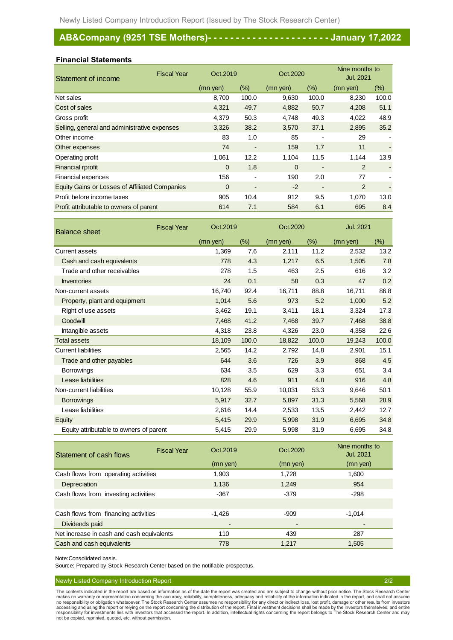# **AB&Company (9251 TSE Mothers)- - - - - - - - - - - - - - - - - - - - - - January 17,2022**

#### **Financial Statements**

| Statement of income                                   | <b>Fiscal Year</b> | Oct.2019       |                          | Oct.2020 |        | Nine months to<br><b>Jul. 2021</b> |       |
|-------------------------------------------------------|--------------------|----------------|--------------------------|----------|--------|------------------------------------|-------|
|                                                       |                    | (mn yen)       | (% )                     | (mn yen) | $(\%)$ | (mn yen)                           | (%)   |
| Net sales                                             |                    | 8,700          | 100.0                    | 9,630    | 100.0  | 8,230                              | 100.0 |
| Cost of sales                                         |                    | 4,321          | 49.7                     | 4,882    | 50.7   | 4,208                              | 51.1  |
| Gross profit                                          |                    | 4,379          | 50.3                     | 4,748    | 49.3   | 4,022                              | 48.9  |
| Selling, general and administrative expenses          |                    | 3,326          | 38.2                     | 3,570    | 37.1   | 2,895                              | 35.2  |
| Other income                                          |                    | 83             | 1.0                      | 85       | ۰      | 29                                 |       |
| Other expenses                                        |                    | 74             | $\overline{\phantom{a}}$ | 159      | 1.7    | 11                                 |       |
| Operating profit                                      |                    | 1,061          | 12.2                     | 1,104    | 11.5   | 1,144                              | 13.9  |
| <b>Financial rprofit</b>                              |                    | $\mathbf 0$    | 1.8                      | $\Omega$ | ٠      | 2                                  |       |
| Financial expences                                    |                    | 156            | $\blacksquare$           | 190      | 2.0    | 77                                 |       |
| <b>Equity Gains or Losses of Affiliated Companies</b> |                    | $\overline{0}$ | $\overline{\phantom{a}}$ | $-2$     | ٠      | 2                                  |       |
| Profit before income taxes                            |                    | 905            | 10.4                     | 912      | 9.5    | 1,070                              | 13.0  |
| Profit attributable to owners of parent               |                    | 614            | 7.1                      | 584      | 6.1    | 695                                | 8.4   |

| <b>Balance sheet</b>                    | <b>Fiscal Year</b> | Oct.2019 |        | Oct.2020 |        | <b>Jul. 2021</b> |        |
|-----------------------------------------|--------------------|----------|--------|----------|--------|------------------|--------|
|                                         |                    | (mn yen) | $(\%)$ | (mn yen) | $(\%)$ | (mn yen)         | $(\%)$ |
| <b>Current assets</b>                   |                    | 1,369    | 7.6    | 2,111    | 11.2   | 2,532            | 13.2   |
| Cash and cash equivalents               |                    | 778      | 4.3    | 1,217    | 6.5    | 1,505            | 7.8    |
| Trade and other receivables             |                    | 278      | 1.5    | 463      | 2.5    | 616              | 3.2    |
| <b>Inventories</b>                      |                    | 24       | 0.1    | 58       | 0.3    | 47               | 0.2    |
| Non-current assets                      |                    | 16,740   | 92.4   | 16,711   | 88.8   | 16,711           | 86.8   |
| Property, plant and equipment           |                    | 1,014    | 5.6    | 973      | 5.2    | 1,000            | 5.2    |
| Right of use assets                     |                    | 3,462    | 19.1   | 3,411    | 18.1   | 3,324            | 17.3   |
| Goodwill                                |                    | 7,468    | 41.2   | 7,468    | 39.7   | 7,468            | 38.8   |
| Intangible assets                       |                    | 4,318    | 23.8   | 4,326    | 23.0   | 4,358            | 22.6   |
| <b>Total assets</b>                     |                    | 18,109   | 100.0  | 18,822   | 100.0  | 19,243           | 100.0  |
| <b>Current liabilities</b>              |                    | 2,565    | 14.2   | 2,792    | 14.8   | 2,901            | 15.1   |
| Trade and other payables                |                    | 644      | 3.6    | 726      | 3.9    | 868              | 4.5    |
| <b>Borrowings</b>                       |                    | 634      | 3.5    | 629      | 3.3    | 651              | 3.4    |
| <b>Lease liabilities</b>                |                    | 828      | 4.6    | 911      | 4.8    | 916              | 4.8    |
| Non-current liabilities                 |                    | 10,128   | 55.9   | 10,031   | 53.3   | 9,646            | 50.1   |
| <b>Borrowings</b>                       |                    | 5,917    | 32.7   | 5,897    | 31.3   | 5,568            | 28.9   |
| Lease liabilities                       |                    | 2,616    | 14.4   | 2,533    | 13.5   | 2,442            | 12.7   |
| <b>Equity</b>                           |                    | 5,415    | 29.9   | 5,998    | 31.9   | 6,695            | 34.8   |
| Equity attributable to owners of parent |                    | 5,415    | 29.9   | 5,998    | 31.9   | 6,695            | 34.8   |

| Statement of cash flows                   | <b>Fiscal Year</b> | Oct. 2019      | Oct.2020 | Nine months to<br><b>Jul. 2021</b> |
|-------------------------------------------|--------------------|----------------|----------|------------------------------------|
|                                           |                    | (mn yen)       | (mn yen) | (mn yen)                           |
| Cash flows from operating activities      |                    | 1,903          | 1,728    | 1,600                              |
| Depreciation                              |                    | 1,136          | 1,249    | 954                                |
| Cash flows from investing activities      |                    | $-367$         | $-379$   | $-298$                             |
|                                           |                    |                |          |                                    |
| Cash flows from financing activities      |                    | $-1,426$       | $-909$   | $-1,014$                           |
| Dividends paid                            |                    | $\blacksquare$ |          |                                    |
| Net increase in cash and cash equivalents |                    | 110            | 439      | 287                                |
| Cash and cash equivalents                 |                    | 778            | 1.217    | 1,505                              |

Note:Consolidated basis.

Source: Prepared by Stock Research Center based on the notifiable prospectus.

#### Newly Listed Company Introduction Report 2/2

The contents indicated in the report are based on information as of the date the report was created and are subject to change without prior notice. The Stock Research Center<br>makes no warranty or representation concerning t accessing and using the report or relying on the report concerning the distribution of the report. Final investment decisions shall be made by the investors themselves, and entire<br>responsibility for investments lies with i not be copied, reprinted, quoted, etc. without permission.